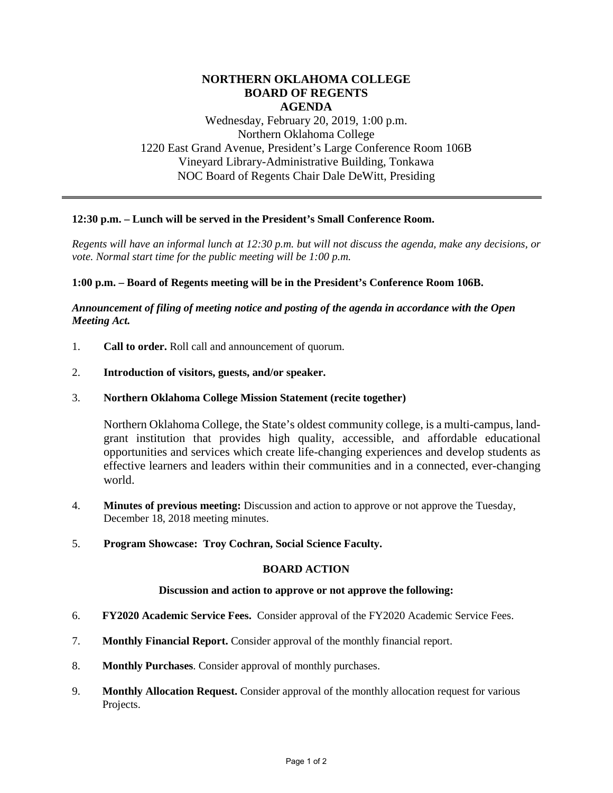# **NORTHERN OKLAHOMA COLLEGE BOARD OF REGENTS AGENDA**

Wednesday, February 20, 2019, 1:00 p.m. Northern Oklahoma College 1220 East Grand Avenue, President's Large Conference Room 106B Vineyard Library-Administrative Building, Tonkawa NOC Board of Regents Chair Dale DeWitt, Presiding

### **12:30 p.m. – Lunch will be served in the President's Small Conference Room.**

*Regents will have an informal lunch at 12:30 p.m. but will not discuss the agenda, make any decisions, or vote. Normal start time for the public meeting will be 1:00 p.m.* 

### **1:00 p.m. – Board of Regents meeting will be in the President's Conference Room 106B.**

# *Announcement of filing of meeting notice and posting of the agenda in accordance with the Open Meeting Act.*

- 1. **Call to order.** Roll call and announcement of quorum.
- 2. **Introduction of visitors, guests, and/or speaker.**
- 3. **Northern Oklahoma College Mission Statement (recite together)**

Northern Oklahoma College, the State's oldest community college, is a multi-campus, landgrant institution that provides high quality, accessible, and affordable educational opportunities and services which create life-changing experiences and develop students as effective learners and leaders within their communities and in a connected, ever-changing world.

- 4. **Minutes of previous meeting:** Discussion and action to approve or not approve the Tuesday, December 18, 2018 meeting minutes.
- 5. **Program Showcase: Troy Cochran, Social Science Faculty.**

### **BOARD ACTION**

#### **Discussion and action to approve or not approve the following:**

- 6. **FY2020 Academic Service Fees.** Consider approval of the FY2020 Academic Service Fees.
- 7. **Monthly Financial Report.** Consider approval of the monthly financial report.
- 8. **Monthly Purchases**. Consider approval of monthly purchases.
- 9. **Monthly Allocation Request.** Consider approval of the monthly allocation request for various Projects.